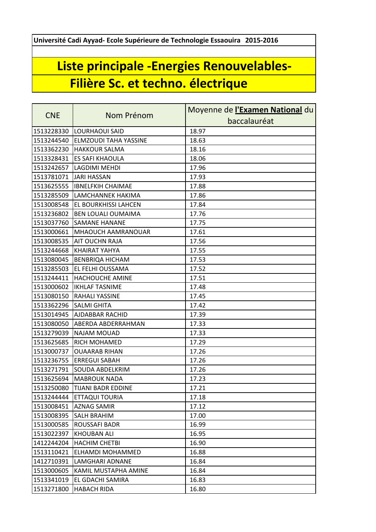**Université Cadi Ayyad- Ecole Supérieure de Technologie Essaouira 2015-2016**

## **Liste principale -Energies Renouvelables-Filière Sc. et techno. électrique**

| <b>CNE</b> | Nom Prénom                    | Moyenne de <i>l'Examen National</i> du |
|------------|-------------------------------|----------------------------------------|
|            |                               | baccalauréat                           |
| 1513228330 | <b>LOURHAOUI SAID</b>         | 18.97                                  |
| 1513244540 | ELMZOUDI TAHA YASSINE         | 18.63                                  |
| 1513362230 | <b>HAKKOUR SALMA</b>          | 18.16                                  |
| 1513328431 | <b>ES SAFI KHAOULA</b>        | 18.06                                  |
| 1513242657 | LAGDIMI MEHDI                 | 17.96                                  |
| 1513781071 | <b>JARI HASSAN</b>            | 17.93                                  |
| 1513625555 | <b>IBNELFKIH CHAIMAE</b>      | 17.88                                  |
| 1513285509 | LAMCHANNEK HAKIMA             | 17.86                                  |
| 1513008548 | EL BOURKHISSI LAHCEN          | 17.84                                  |
| 1513236802 | <b>BEN LOUALI OUMAIMA</b>     | 17.76                                  |
| 1513037760 | <b>SAMANE HANANE</b>          | 17.75                                  |
| 1513000661 | MHAOUCH AAMRANOUAR            | 17.61                                  |
| 1513008535 | AIT OUCHN RAJA                | 17.56                                  |
| 1513244668 | <b>KHAIRAT YAHYA</b>          | 17.55                                  |
| 1513080045 | <b>BENBRIQA HICHAM</b>        | 17.53                                  |
| 1513285503 | EL FELHI OUSSAMA              | 17.52                                  |
| 1513244411 | HACHOUCHE AMINE               | 17.51                                  |
| 1513000602 | <b>IKHLAF TASNIME</b>         | 17.48                                  |
| 1513080150 | RAHALI YASSINE                | 17.45                                  |
| 1513362296 | <b>SALMI GHITA</b>            | 17.42                                  |
| 1513014945 | <b>AJDABBAR RACHID</b>        | 17.39                                  |
| 1513080050 | ABERDA ABDERRAHMAN            | 17.33                                  |
| 1513279039 | NAJAM MOUAD                   | 17.33                                  |
| 1513625685 | RICH MOHAMED                  | 17.29                                  |
| 1513000737 | <b>OUAARAB RIHAN</b>          | 17.26                                  |
| 1513236755 | <b>ERREGUI SABAH</b>          | 17.26                                  |
| 1513271791 | <b>SOUDA ABDELKRIM</b>        | 17.26                                  |
| 1513625694 | <b>MABROUK NADA</b>           | 17.23                                  |
|            | 1513250080 TIJANI BADR EDDINE | 17.21                                  |
| 1513244444 | <b>ETTAQUI TOURIA</b>         | 17.18                                  |
| 1513008451 | <b>AZNAG SAMIR</b>            | 17.12                                  |
| 1513008395 | SALH BRAHIM                   | 17.00                                  |
| 1513000585 | <b>ROUSSAFI BADR</b>          | 16.99                                  |
| 1513022397 | <b>KHOUBAN ALI</b>            | 16.95                                  |
| 1412244204 | <b>HACHIM CHETBI</b>          | 16.90                                  |
| 1513110421 | ELHAMDI MOHAMMED              | 16.88                                  |
| 1412710391 | LAMGHARI ADNANE               | 16.84                                  |
| 1513000605 | KAMIL MUSTAPHA AMINE          | 16.84                                  |
| 1513341019 | EL GDACHI SAMIRA              | 16.83                                  |
| 1513271800 | <b>HABACH RIDA</b>            | 16.80                                  |